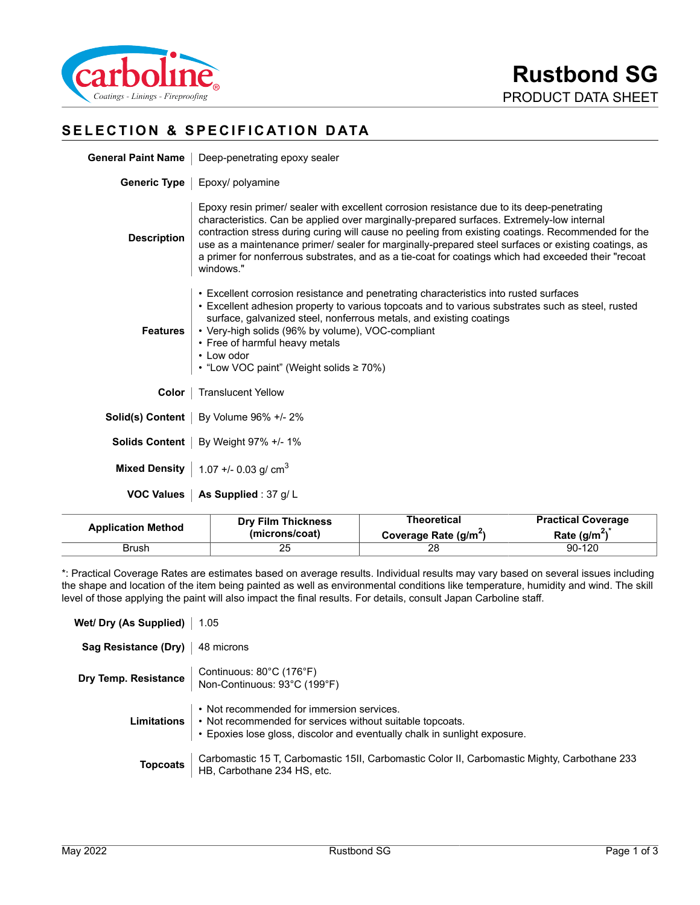

# **SELECTION & SPECIFICATION DATA**

| General Paint Name   Deep-penetrating epoxy sealer |
|----------------------------------------------------|
|                                                    |

**Generic Type** | Epoxy/ polyamine

| <b>Description</b> | Epoxy resin primer/ sealer with excellent corrosion resistance due to its deep-penetrating<br>characteristics. Can be applied over marginally-prepared surfaces. Extremely-low internal<br>contraction stress during curing will cause no peeling from existing coatings. Recommended for the<br>use as a maintenance primer/ sealer for marginally-prepared steel surfaces or existing coatings, as<br>a primer for nonferrous substrates, and as a tie-coat for coatings which had exceeded their "recoat<br>windows." |
|--------------------|--------------------------------------------------------------------------------------------------------------------------------------------------------------------------------------------------------------------------------------------------------------------------------------------------------------------------------------------------------------------------------------------------------------------------------------------------------------------------------------------------------------------------|
| Features           | • Excellent corrosion resistance and penetrating characteristics into rusted surfaces<br>• Excellent adhesion property to various topcoats and to various substrates such as steel, rusted<br>surface, galvanized steel, nonferrous metals, and existing coatings<br>• Very-high solids (96% by volume), VOC-compliant<br>• Free of harmful heavy metals<br>• Low odor<br>• "Low VOC paint" (Weight solids ≥ 70%)                                                                                                        |
| Color              | <b>Translucent Yellow</b>                                                                                                                                                                                                                                                                                                                                                                                                                                                                                                |
|                    | <b>Solid(s) Content</b>   By Volume $96\%$ +/- 2%                                                                                                                                                                                                                                                                                                                                                                                                                                                                        |
|                    | <b>Solids Content</b>   By Weight 97% +/- 1%                                                                                                                                                                                                                                                                                                                                                                                                                                                                             |

**Mixed Density**  $\Big| 1.07 + 0.03 \text{ g/cm}^3$ 

**VOC Values** | As Supplied : 37 g/ L

| <b>Application Method</b> | <b>Dry Film Thickness</b> | Theoretical                       | <b>Practical Coverage</b> |
|---------------------------|---------------------------|-----------------------------------|---------------------------|
|                           | (microns/coat)            | Coverage Rate (g/m <sup>2</sup> ) | Rate $(g/m^2)$            |
| Brush                     | 25                        |                                   | 90-120                    |

\*: Practical Coverage Rates are estimates based on average results. Individual results may vary based on several issues including the shape and location of the item being painted as well as environmental conditions like temperature, humidity and wind. The skill level of those applying the paint will also impact the final results. For details, consult Japan Carboline staff.

| Wet/ Dry (As Supplied)   1.05     |                                                                                                                                                                                                              |
|-----------------------------------|--------------------------------------------------------------------------------------------------------------------------------------------------------------------------------------------------------------|
| Sag Resistance (Dry)   48 microns |                                                                                                                                                                                                              |
|                                   | <b>Dry Temp. Resistance</b> Continuous: 80°C (176°F)<br>Non-Continuous: 93°C (199°F)                                                                                                                         |
|                                   | • Not recommended for immersion services.<br><b>Limitations</b> $\cdot$ Not recommended for services without suitable topcoats.<br>• Epoxies lose gloss, discolor and eventually chalk in sunlight exposure. |
| <b>Topcoats</b>                   | Carbomastic 15 T, Carbomastic 15II, Carbomastic Color II, Carbomastic Mighty, Carbothane 233 HB, Carbothane 234 HS, etc.                                                                                     |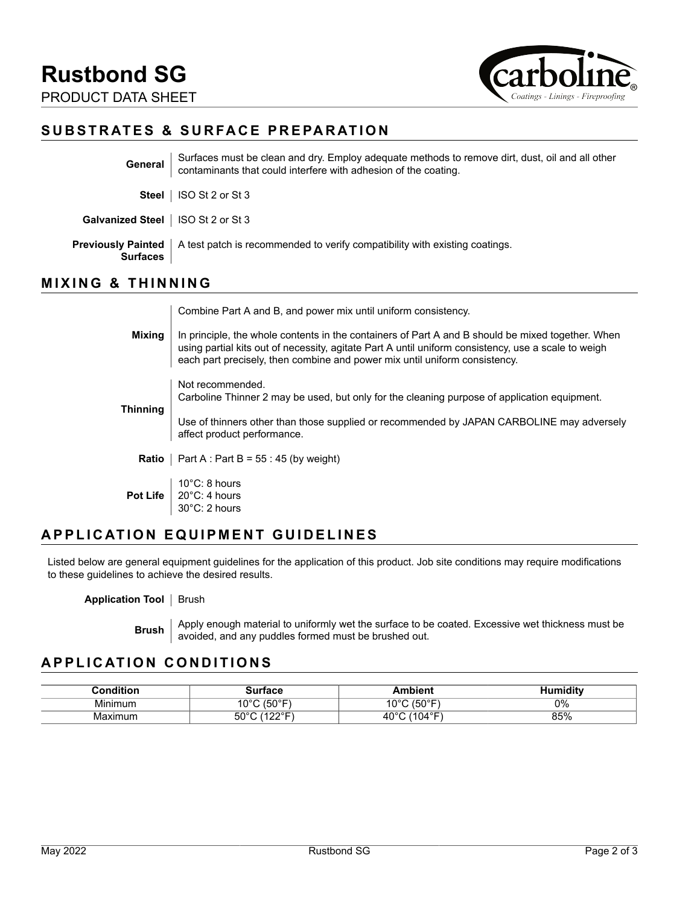

# **SUBSTRATES & SURFACE PREPARATION**

| General                                      | Surfaces must be clean and dry. Employ adequate methods to remove dirt, dust, oil and all other<br>contaminants that could interfere with adhesion of the coating. |
|----------------------------------------------|--------------------------------------------------------------------------------------------------------------------------------------------------------------------|
| <b>Steel</b>                                 | ISO St 2 or St 3                                                                                                                                                   |
| <b>Galvanized Steel</b>   ISO St 2 or St 3   |                                                                                                                                                                    |
| <b>Previously Painted</b><br><b>Surfaces</b> | A test patch is recommended to verify compatibility with existing coatings.                                                                                        |

# **MIXING & THINNING**

Combine Part A and B, and power mix until uniform consistency.

**Mixing** In principle, the whole contents in the containers of Part A and B should be mixed together. When using partial kits out of necessity, agitate Part A until uniform consistency, use a scale to weigh each part precisely, then combine and power mix until uniform consistency. **Thinning** Not recommended. Carboline Thinner 2 may be used, but only for the cleaning purpose of application equipment. Use of thinners other than those supplied or recommended by JAPAN CARBOLINE may adversely affect product performance. **Ratio** | Part A : Part B =  $55 : 45$  (by weight) **Pot Life** 10°C: 8 hours 20°C: 4 hours 30°C: 2 hours

# **APPLICATION EQUIPMENT GUIDELINES**

Listed below are general equipment guidelines for the application of this product. Job site conditions may require modifications to these guidelines to achieve the desired results.

#### **Application Tool** | Brush

**Brush** Apply enough material to uniformly wet the surface to be coated. Excessive wet thickness must be avoided, and any puddles formed must be brushed out.

### **APPLICATION CONDITIONS**

| Condition    | тасе                    | mbient                      | nidity<br>41 Ir |
|--------------|-------------------------|-----------------------------|-----------------|
| .<br>Minimum | . ⊖ (50°⊑.<br>000<br>ັບ | $(T \cap \Omega)$<br>$\sim$ | 0%              |
| Maximum      | $50^\circ$<br>--        | 104°F)<br>40.               | 85%             |